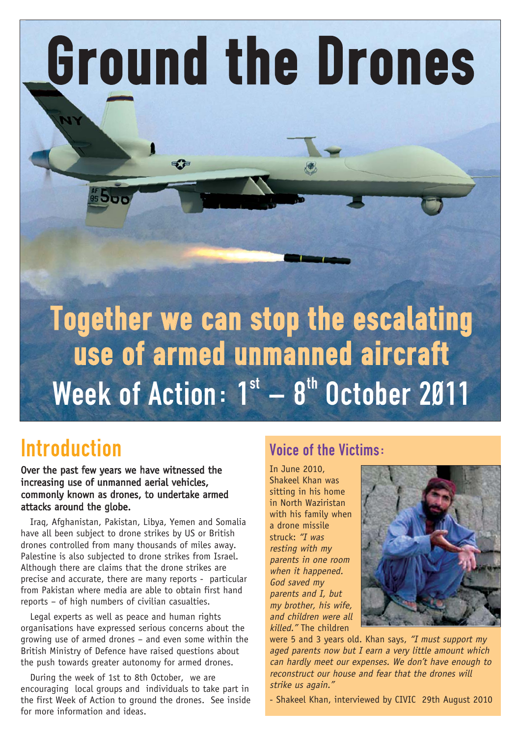Ground the Drones

# Together we can stop the escalating use of armed unmanned aircraft Week of Action:  $1<sup>st</sup> - 8<sup>th</sup>$  October 2011

## Introduction

Over the past few years we have witnessed the increasing use of unmanned aerial vehicles, commonly known as drones, to undertake armed attacks around the globe.

Iraq, Afghanistan, Pakistan, Libya, Yemen and Somalia have all been subject to drone strikes by US or British drones controlled from many thousands of miles away. Palestine is also subjected to drone strikes from Israel. Although there are claims that the drone strikes are precise and accurate, there are many reports - particular from Pakistan where media are able to obtain first hand reports – of high numbers of civilian casualties.

Legal experts as well as peace and human rights organisations have expressed serious concerns about the growing use of armed drones – and even some within the British Ministry of Defence have raised questions about the push towards greater autonomy for armed drones.

During the week of 1st to 8th October, we are encouraging local groups and individuals to take part in the first Week of Action to ground the drones. See inside for more information and ideas.

## Voice of the Victims:

In June 2010, Shakeel Khan was sitting in his home in North Waziristan with his family when a drone missile struck: "I was resting with my parents in one room when it happened. God saved my parents and I, but my brother, his wife, and children were all killed." The children



were 5 and 3 years old. Khan says, "I must support my aged parents now but I earn a very little amount which can hardly meet our expenses. We don't have enough to reconstruct our house and fear that the drones will strike us again."

- Shakeel Khan, interviewed by CIVIC 29th August 2010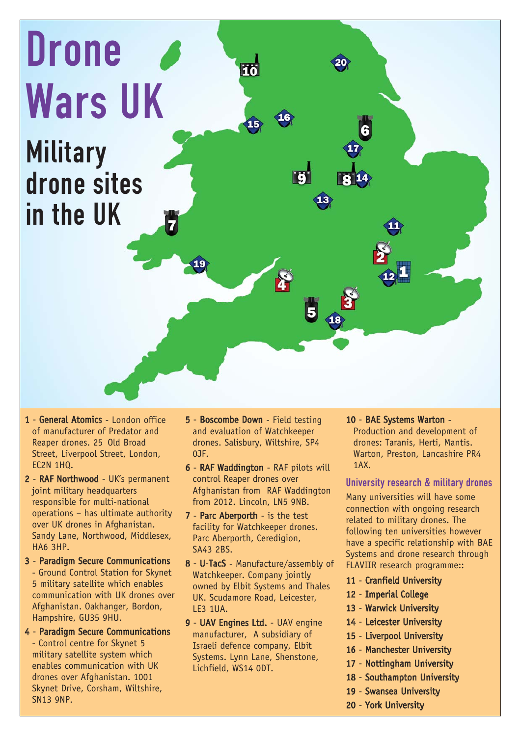

- 1 General Atomics London office of manufacturer of Predator and Reaper drones. 25 Old Broad Street, Liverpool Street, London, EC2N 1HQ.
- 2 RAF Northwood UK's permanent joint military headquarters responsible for multi-national operations – has ultimate authority over UK drones in Afghanistan. Sandy Lane, Northwood, Middlesex, HA6 3HP.
- 3 Paradigm Secure Communications - Ground Control Station for Skynet 5 military satellite which enables communication with UK drones over Afghanistan. Oakhanger, Bordon, Hampshire, GU35 9HU.
- 4 Paradigm Secure Communications - Control centre for Skynet 5 military satellite system which enables communication with UK drones over Afghanistan. 1001 Skynet Drive, Corsham, Wiltshire, SN13 9NP.
- 5 Boscombe Down Field testing and evaluation of Watchkeeper drones. Salisbury, Wiltshire, SP4 0JF.
- 6 RAF Waddington RAF pilots will control Reaper drones over Afghanistan from RAF Waddington from 2012. Lincoln, LN5 9NB.
- 7 Parc Aberporth is the test facility for Watchkeeper drones. Parc Aberporth, Ceredigion, SA43 2BS.
- 8 U-TacS Manufacture/assembly of Watchkeeper. Company jointly owned by Elbit Systems and Thales UK. Scudamore Road, Leicester, LE3 1UA.
- 9 UAV Engines Ltd. UAV engine manufacturer, A subsidiary of Israeli defence company, Elbit Systems. Lynn Lane, Shenstone, Lichfield, WS14 0DT.

#### 10 - BAE Systems Warton -

Production and development of drones: Taranis, Herti, Mantis. Warton, Preston, Lancashire PR4 1AX.

#### University research & military drones

Many universities will have some connection with ongoing research related to military drones. The following ten universities however have a specific relationship with BAE Systems and drone research through FLAVIIR research programme::

- 11 Cranfield University
- 12 Imperial College
- 13 Warwick University
- 14 Leicester University
- 15 Liverpool University
- 16 Manchester University
- 17 Nottingham University
- 18 Southampton University
- 19 Swansea University
- 20 York University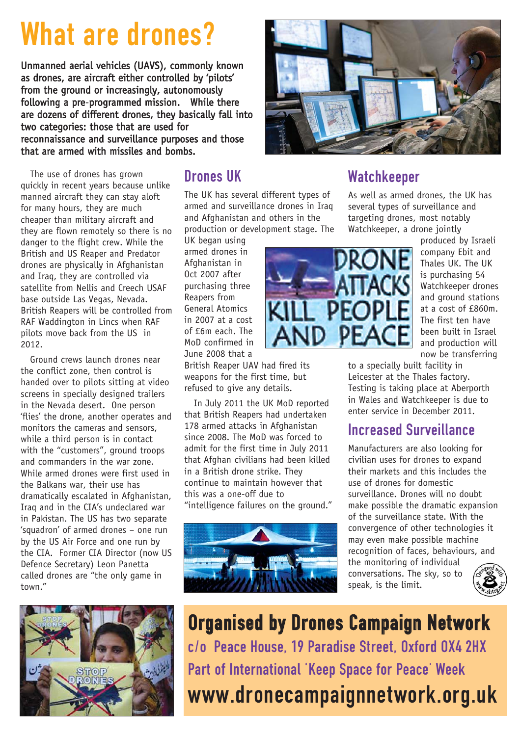# What are drones?

Unmanned aerial vehicles (UAVS), commonly known as drones, are aircraft either controlled by 'pilots' from the ground or increasingly, autonomously following a pre-programmed mission. While there are dozens of different drones, they basically fall into two categories: those that are used for reconnaissance and surveillance purposes and those that are armed with missiles and bombs.

The use of drones has grown quickly in recent years because unlike manned aircraft they can stay aloft for many hours, they are much cheaper than military aircraft and they are flown remotely so there is no danger to the flight crew. While the British and US Reaper and Predator drones are physically in Afghanistan and Iraq, they are controlled via satellite from Nellis and Creech USAF base outside Las Vegas, Nevada. British Reapers will be controlled from RAF Waddington in Lincs when RAF pilots move back from the US in 2012.

Ground crews launch drones near the conflict zone, then control is handed over to pilots sitting at video screens in specially designed trailers in the Nevada desert. One person 'flies' the drone, another operates and monitors the cameras and sensors, while a third person is in contact with the "customers", ground troops and commanders in the war zone. While armed drones were first used in the Balkans war, their use has dramatically escalated in Afghanistan, Iraq and in the CIA's undeclared war in Pakistan. The US has two separate 'squadron' of armed drones – one run by the US Air Force and one run by the CIA. Former CIA Director (now US Defence Secretary) Leon Panetta called drones are "the only game in town."



## Drones UK

The UK has several different types of armed and surveillance drones in Iraq and Afghanistan and others in the production or development stage. The

UK began using armed drones in Afghanistan in Oct 2007 after purchasing three Reapers from General Atomics in 2007 at a cost of £6m each. The MoD confirmed in June 2008 that a

British Reaper UAV had fired its weapons for the first time, but refused to give any details.

In July 2011 the UK MoD reported that British Reapers had undertaken 178 armed attacks in Afghanistan since 2008. The MoD was forced to admit for the first time in July 2011 that Afghan civilians had been killed in a British drone strike. They continue to maintain however that this was a one-off due to "intelligence failures on the ground."





## Watchkeeper

As well as armed drones, the UK has several types of surveillance and targeting drones, most notably Watchkeeper, a drone jointly

produced by Israeli company Ebit and Thales UK. The UK is purchasing 54 Watchkeeper drones and ground stations at a cost of £860m. The first ten have been built in Israel and production will now be transferring

to a specially built facility in Leicester at the Thales factory. Testing is taking place at Aberporth in Wales and Watchkeeper is due to enter service in December 2011.

## Increased Surveillance

Manufacturers are also looking for civilian uses for drones to expand their markets and this includes the use of drones for domestic surveillance. Drones will no doubt make possible the dramatic expansion of the surveillance state. With the convergence of other technologies it may even make possible machine recognition of faces, behaviours, and the monitoring of individual conversations. The sky, so to speak, is the limit.



Organised by Drones Campaign Network c/o Peace House, 19 Paradise Street, Oxford OX4 2HX Part of International 'Keep Space for Peace' Week www.dronecampaignnetwork.org.uk